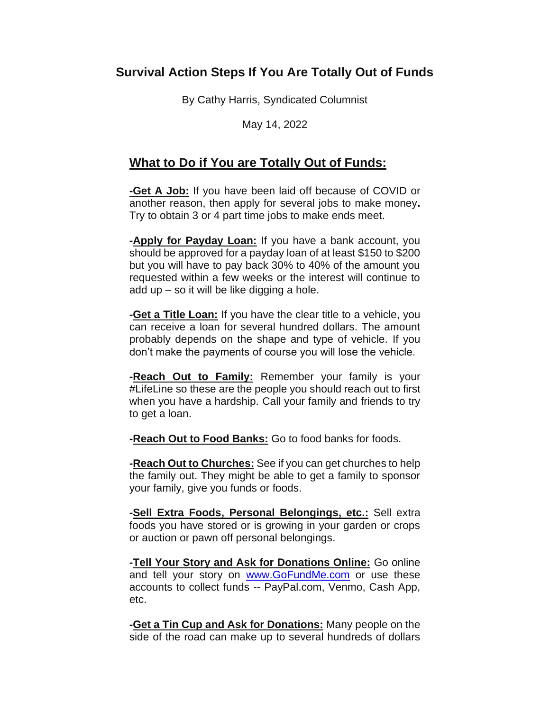## **Survival Action Steps If You Are Totally Out of Funds**

By Cathy Harris, Syndicated Columnist

May 14, 2022

## **What to Do if You are Totally Out of Funds:**

**-Get A Job:** If you have been laid off because of COVID or another reason, then apply for several jobs to make money**.** Try to obtain 3 or 4 part time jobs to make ends meet.

**-Apply for Payday Loan:** If you have a bank account, you should be approved for a payday loan of at least \$150 to \$200 but you will have to pay back 30% to 40% of the amount you requested within a few weeks or the interest will continue to add up – so it will be like digging a hole.

**-Get a Title Loan:** If you have the clear title to a vehicle, you can receive a loan for several hundred dollars. The amount probably depends on the shape and type of vehicle. If you don't make the payments of course you will lose the vehicle.

**-Reach Out to Family:** Remember your family is your #LifeLine so these are the people you should reach out to first when you have a hardship. Call your family and friends to try to get a loan.

**-Reach Out to Food Banks:** Go to food banks for foods.

**-Reach Out to Churches:** See if you can get churches to help the family out. They might be able to get a family to sponsor your family, give you funds or foods.

**-Sell Extra Foods, Personal Belongings, etc.:** Sell extra foods you have stored or is growing in your garden or crops or auction or pawn off personal belongings.

**-Tell Your Story and Ask for Donations Online:** Go online and tell your story on [www.GoFundMe.com](http://www.gofundme.com/) or use these accounts to collect funds -- PayPal.com, Venmo, Cash App, etc.

**-Get a Tin Cup and Ask for Donations:** Many people on the side of the road can make up to several hundreds of dollars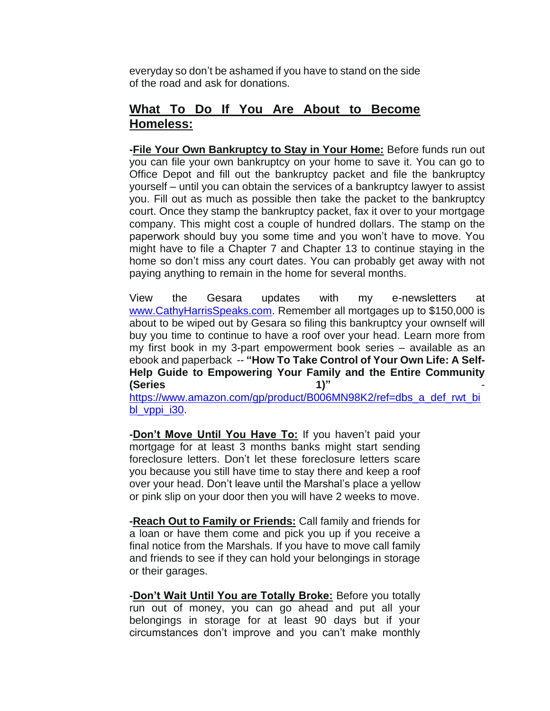everyday so don't be ashamed if you have to stand on the side of the road and ask for donations.

## **What To Do If You Are About to Become Homeless:**

**-File Your Own Bankruptcy to Stay in Your Home:** Before funds run out you can file your own bankruptcy on your home to save it. You can go to Office Depot and fill out the bankruptcy packet and file the bankruptcy yourself – until you can obtain the services of a bankruptcy lawyer to assist you. Fill out as much as possible then take the packet to the bankruptcy court. Once they stamp the bankruptcy packet, fax it over to your mortgage company. This might cost a couple of hundred dollars. The stamp on the paperwork should buy you some time and you won't have to move. You might have to file a Chapter 7 and Chapter 13 to continue staying in the home so don't miss any court dates. You can probably get away with not paying anything to remain in the home for several months.

View the Gesara updates with my e-newsletters at [www.CathyHarrisSpeaks.com.](http://www.cathyharrisspeaks.com/) Remember all mortgages up to \$150,000 is about to be wiped out by Gesara so filing this bankruptcy your ownself will buy you time to continue to have a roof over your head. Learn more from my first book in my 3-part empowerment book series – available as an ebook and paperback -- **"How To Take Control of Your Own Life: A Self-Help Guide to Empowering Your Family and the Entire Community (Series 1)"** -

[https://www.amazon.com/gp/product/B006MN98K2/ref=dbs\\_a\\_def\\_rwt\\_bi](https://www.amazon.com/gp/product/B006MN98K2/ref=dbs_a_def_rwt_bibl_vppi_i30) bl vppi i30.

**-Don't Move Until You Have To:** If you haven't paid your mortgage for at least 3 months banks might start sending foreclosure letters. Don't let these foreclosure letters scare you because you still have time to stay there and keep a roof over your head. Don't leave until the Marshal's place a yellow or pink slip on your door then you will have 2 weeks to move.

**-Reach Out to Family or Friends:** Call family and friends for a loan or have them come and pick you up if you receive a final notice from the Marshals. If you have to move call family and friends to see if they can hold your belongings in storage or their garages.

**-Don't Wait Until You are Totally Broke:** Before you totally run out of money, you can go ahead and put all your belongings in storage for at least 90 days but if your circumstances don't improve and you can't make monthly